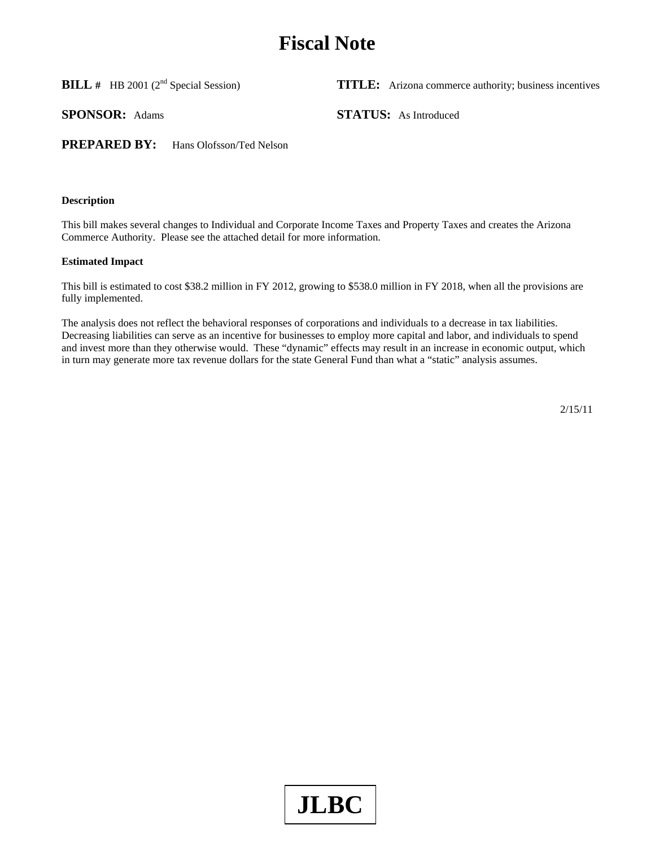# **Fiscal Note**

**BILL #** HB 2001 (2<sup>nd</sup> Special Session) **TITLE:** Arizona commerce authority; business incentives

**SPONSOR:** Adams **STATUS:** As Introduced

**PREPARED BY:** Hans Olofsson/Ted Nelson

## **Description**

This bill makes several changes to Individual and Corporate Income Taxes and Property Taxes and creates the Arizona Commerce Authority. Please see the attached detail for more information.

## **Estimated Impact**

This bill is estimated to cost \$38.2 million in FY 2012, growing to \$538.0 million in FY 2018, when all the provisions are fully implemented.

The analysis does not reflect the behavioral responses of corporations and individuals to a decrease in tax liabilities. Decreasing liabilities can serve as an incentive for businesses to employ more capital and labor, and individuals to spend and invest more than they otherwise would. These "dynamic" effects may result in an increase in economic output, which in turn may generate more tax revenue dollars for the state General Fund than what a "static" analysis assumes.

2/15/11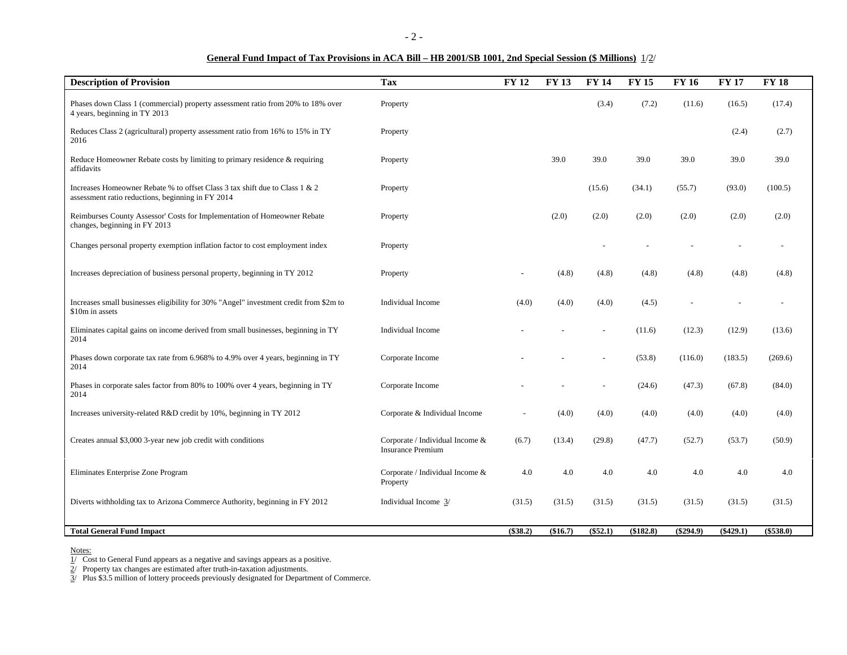## **General Fund Impact of Tax Provisions in ACA Bill – HB 2001/SB 1001, 2nd Special Session (\$ Millions)** 1/2/

| <b>Description of Provision</b>                                                                                                  | <b>Tax</b>                                                  | <b>FY 12</b> | <b>FY 13</b> | <b>FY 14</b> | <b>FY 15</b> | <b>FY 16</b> | <b>FY 17</b> | <b>FY18</b> |
|----------------------------------------------------------------------------------------------------------------------------------|-------------------------------------------------------------|--------------|--------------|--------------|--------------|--------------|--------------|-------------|
| Phases down Class 1 (commercial) property assessment ratio from 20% to 18% over<br>4 years, beginning in TY 2013                 | Property                                                    |              |              | (3.4)        | (7.2)        | (11.6)       | (16.5)       | (17.4)      |
| Reduces Class 2 (agricultural) property assessment ratio from 16% to 15% in TY<br>2016                                           | Property                                                    |              |              |              |              |              | (2.4)        | (2.7)       |
| Reduce Homeowner Rebate costs by limiting to primary residence & requiring<br>affidavits                                         | Property                                                    |              | 39.0         | 39.0         | 39.0         | 39.0         | 39.0         | 39.0        |
| Increases Homeowner Rebate % to offset Class 3 tax shift due to Class 1 & 2<br>assessment ratio reductions, beginning in FY 2014 | Property                                                    |              |              | (15.6)       | (34.1)       | (55.7)       | (93.0)       | (100.5)     |
| Reimburses County Assessor' Costs for Implementation of Homeowner Rebate<br>changes, beginning in FY 2013                        | Property                                                    |              | (2.0)        | (2.0)        | (2.0)        | (2.0)        | (2.0)        | (2.0)       |
| Changes personal property exemption inflation factor to cost employment index                                                    | Property                                                    |              |              |              |              |              |              |             |
| Increases depreciation of business personal property, beginning in TY 2012                                                       | Property                                                    |              | (4.8)        | (4.8)        | (4.8)        | (4.8)        | (4.8)        | (4.8)       |
| Increases small businesses eligibility for 30% "Angel" investment credit from \$2m to<br>\$10m in assets                         | Individual Income                                           | (4.0)        | (4.0)        | (4.0)        | (4.5)        |              |              |             |
| Eliminates capital gains on income derived from small businesses, beginning in TY<br>2014                                        | Individual Income                                           |              |              |              | (11.6)       | (12.3)       | (12.9)       | (13.6)      |
| Phases down corporate tax rate from 6.968% to 4.9% over 4 years, beginning in TY<br>2014                                         | Corporate Income                                            |              |              |              | (53.8)       | (116.0)      | (183.5)      | (269.6)     |
| Phases in corporate sales factor from 80% to 100% over 4 years, beginning in TY<br>2014                                          | Corporate Income                                            |              |              |              | (24.6)       | (47.3)       | (67.8)       | (84.0)      |
| Increases university-related R&D credit by 10%, beginning in TY 2012                                                             | Corporate & Individual Income                               |              | (4.0)        | (4.0)        | (4.0)        | (4.0)        | (4.0)        | (4.0)       |
| Creates annual \$3,000 3-year new job credit with conditions                                                                     | Corporate / Individual Income &<br><b>Insurance Premium</b> | (6.7)        | (13.4)       | (29.8)       | (47.7)       | (52.7)       | (53.7)       | (50.9)      |
| Eliminates Enterprise Zone Program                                                                                               | Corporate / Individual Income &<br>Property                 | 4.0          | 4.0          | 4.0          | 4.0          | 4.0          | 4.0          | 4.0         |
| Diverts withholding tax to Arizona Commerce Authority, beginning in FY 2012                                                      | Individual Income 3/                                        | (31.5)       | (31.5)       | (31.5)       | (31.5)       | (31.5)       | (31.5)       | (31.5)      |
| <b>Total General Fund Impact</b>                                                                                                 |                                                             | (\$38.2)     | (\$16.7)     | (\$52.1)     | (\$182.8)    | $(\$294.9)$  | $(\$429.1)$  | $(\$538.0)$ |

Notes:<br>1/ Cost to General Fund appears as a negative and savings appears as a positive.

 $2/$  Property tax changes are estimated after truth-in-taxation adjustments.

3/ Plus \$3.5 million of lottery proceeds previously designated for Department of Commerce.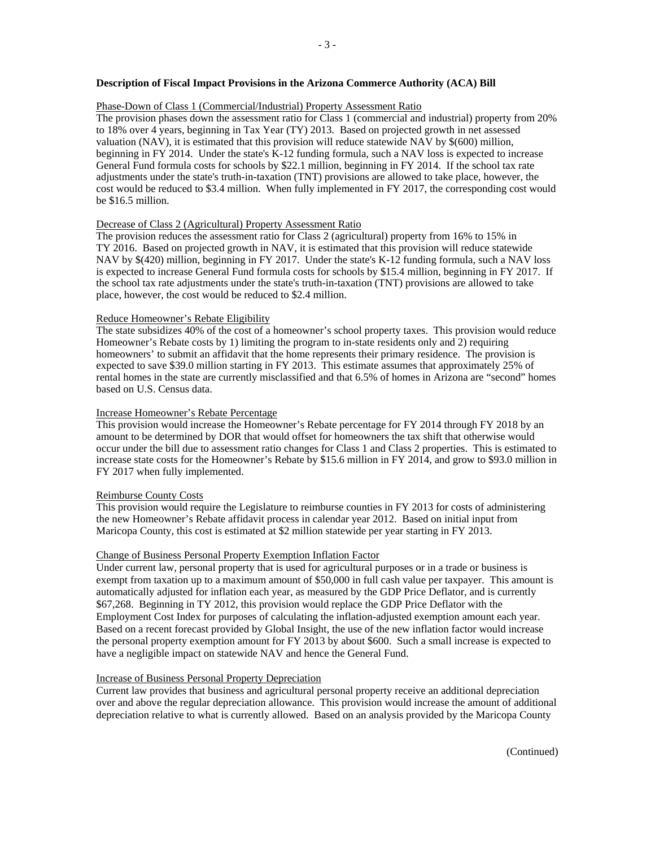## **Description of Fiscal Impact Provisions in the Arizona Commerce Authority (ACA) Bill**

## Phase-Down of Class 1 (Commercial/Industrial) Property Assessment Ratio

The provision phases down the assessment ratio for Class 1 (commercial and industrial) property from 20% to 18% over 4 years, beginning in Tax Year (TY) 2013. Based on projected growth in net assessed valuation (NAV), it is estimated that this provision will reduce statewide NAV by \$(600) million, beginning in FY 2014. Under the state's K-12 funding formula, such a NAV loss is expected to increase General Fund formula costs for schools by \$22.1 million, beginning in FY 2014. If the school tax rate adjustments under the state's truth-in-taxation (TNT) provisions are allowed to take place, however, the cost would be reduced to \$3.4 million. When fully implemented in FY 2017, the corresponding cost would be \$16.5 million.

## Decrease of Class 2 (Agricultural) Property Assessment Ratio

The provision reduces the assessment ratio for Class 2 (agricultural) property from 16% to 15% in TY 2016. Based on projected growth in NAV, it is estimated that this provision will reduce statewide NAV by \$(420) million, beginning in FY 2017. Under the state's K-12 funding formula, such a NAV loss is expected to increase General Fund formula costs for schools by \$15.4 million, beginning in FY 2017. If the school tax rate adjustments under the state's truth-in-taxation (TNT) provisions are allowed to take place, however, the cost would be reduced to \$2.4 million.

#### Reduce Homeowner's Rebate Eligibility

The state subsidizes 40% of the cost of a homeowner's school property taxes. This provision would reduce Homeowner's Rebate costs by 1) limiting the program to in-state residents only and 2) requiring homeowners' to submit an affidavit that the home represents their primary residence. The provision is expected to save \$39.0 million starting in FY 2013. This estimate assumes that approximately 25% of rental homes in the state are currently misclassified and that 6.5% of homes in Arizona are "second" homes based on U.S. Census data.

## Increase Homeowner's Rebate Percentage

This provision would increase the Homeowner's Rebate percentage for FY 2014 through FY 2018 by an amount to be determined by DOR that would offset for homeowners the tax shift that otherwise would occur under the bill due to assessment ratio changes for Class 1 and Class 2 properties. This is estimated to increase state costs for the Homeowner's Rebate by \$15.6 million in FY 2014, and grow to \$93.0 million in FY 2017 when fully implemented.

#### Reimburse County Costs

This provision would require the Legislature to reimburse counties in FY 2013 for costs of administering the new Homeowner's Rebate affidavit process in calendar year 2012. Based on initial input from Maricopa County, this cost is estimated at \$2 million statewide per year starting in FY 2013.

#### Change of Business Personal Property Exemption Inflation Factor

Under current law, personal property that is used for agricultural purposes or in a trade or business is exempt from taxation up to a maximum amount of \$50,000 in full cash value per taxpayer. This amount is automatically adjusted for inflation each year, as measured by the GDP Price Deflator, and is currently \$67,268. Beginning in TY 2012, this provision would replace the GDP Price Deflator with the Employment Cost Index for purposes of calculating the inflation-adjusted exemption amount each year. Based on a recent forecast provided by Global Insight, the use of the new inflation factor would increase the personal property exemption amount for FY 2013 by about \$600. Such a small increase is expected to have a negligible impact on statewide NAV and hence the General Fund.

#### Increase of Business Personal Property Depreciation

Current law provides that business and agricultural personal property receive an additional depreciation over and above the regular depreciation allowance. This provision would increase the amount of additional depreciation relative to what is currently allowed. Based on an analysis provided by the Maricopa County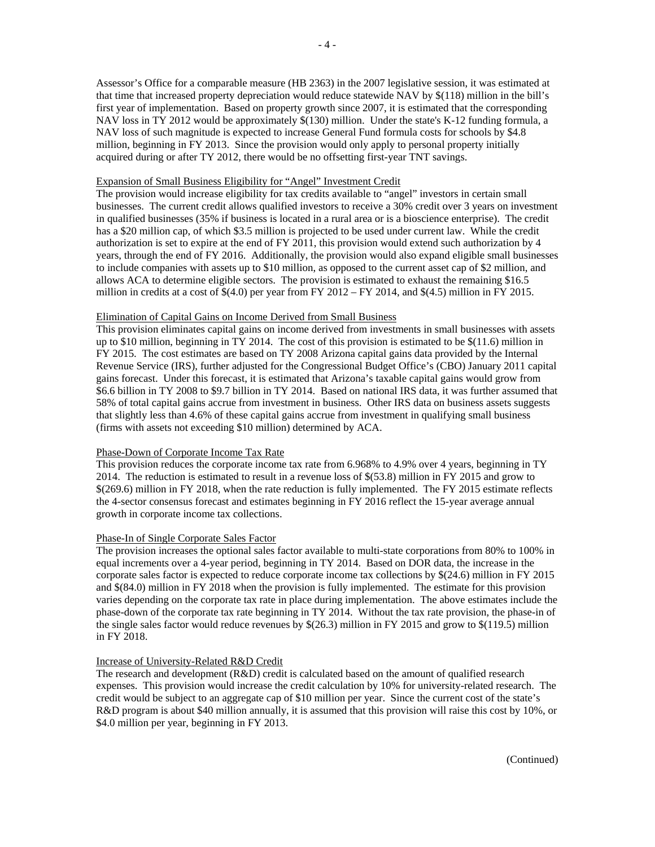Assessor's Office for a comparable measure (HB 2363) in the 2007 legislative session, it was estimated at that time that increased property depreciation would reduce statewide NAV by \$(118) million in the bill's first year of implementation. Based on property growth since 2007, it is estimated that the corresponding NAV loss in TY 2012 would be approximately \$(130) million. Under the state's K-12 funding formula, a NAV loss of such magnitude is expected to increase General Fund formula costs for schools by \$4.8 million, beginning in FY 2013. Since the provision would only apply to personal property initially acquired during or after TY 2012, there would be no offsetting first-year TNT savings.

## Expansion of Small Business Eligibility for "Angel" Investment Credit

The provision would increase eligibility for tax credits available to "angel" investors in certain small businesses. The current credit allows qualified investors to receive a 30% credit over 3 years on investment in qualified businesses (35% if business is located in a rural area or is a bioscience enterprise). The credit has a \$20 million cap, of which \$3.5 million is projected to be used under current law. While the credit authorization is set to expire at the end of FY 2011, this provision would extend such authorization by 4 years, through the end of FY 2016. Additionally, the provision would also expand eligible small businesses to include companies with assets up to \$10 million, as opposed to the current asset cap of \$2 million, and allows ACA to determine eligible sectors. The provision is estimated to exhaust the remaining \$16.5 million in credits at a cost of  $$(4.0)$  per year from FY 2012 – FY 2014, and  $$(4.5)$  million in FY 2015.

## Elimination of Capital Gains on Income Derived from Small Business

This provision eliminates capital gains on income derived from investments in small businesses with assets up to \$10 million, beginning in TY 2014. The cost of this provision is estimated to be \$(11.6) million in FY 2015. The cost estimates are based on TY 2008 Arizona capital gains data provided by the Internal Revenue Service (IRS), further adjusted for the Congressional Budget Office's (CBO) January 2011 capital gains forecast. Under this forecast, it is estimated that Arizona's taxable capital gains would grow from \$6.6 billion in TY 2008 to \$9.7 billion in TY 2014. Based on national IRS data, it was further assumed that 58% of total capital gains accrue from investment in business. Other IRS data on business assets suggests that slightly less than 4.6% of these capital gains accrue from investment in qualifying small business (firms with assets not exceeding \$10 million) determined by ACA.

## Phase-Down of Corporate Income Tax Rate

This provision reduces the corporate income tax rate from 6.968% to 4.9% over 4 years, beginning in TY 2014. The reduction is estimated to result in a revenue loss of \$(53.8) million in FY 2015 and grow to \$(269.6) million in FY 2018, when the rate reduction is fully implemented. The FY 2015 estimate reflects the 4-sector consensus forecast and estimates beginning in FY 2016 reflect the 15-year average annual growth in corporate income tax collections.

#### Phase-In of Single Corporate Sales Factor

The provision increases the optional sales factor available to multi-state corporations from 80% to 100% in equal increments over a 4-year period, beginning in TY 2014. Based on DOR data, the increase in the corporate sales factor is expected to reduce corporate income tax collections by \$(24.6) million in FY 2015 and \$(84.0) million in FY 2018 when the provision is fully implemented. The estimate for this provision varies depending on the corporate tax rate in place during implementation. The above estimates include the phase-down of the corporate tax rate beginning in TY 2014. Without the tax rate provision, the phase-in of the single sales factor would reduce revenues by \$(26.3) million in FY 2015 and grow to \$(119.5) million in FY 2018.

#### Increase of University-Related R&D Credit

The research and development (R&D) credit is calculated based on the amount of qualified research expenses. This provision would increase the credit calculation by 10% for university-related research. The credit would be subject to an aggregate cap of \$10 million per year. Since the current cost of the state's R&D program is about \$40 million annually, it is assumed that this provision will raise this cost by 10%, or \$4.0 million per year, beginning in FY 2013.